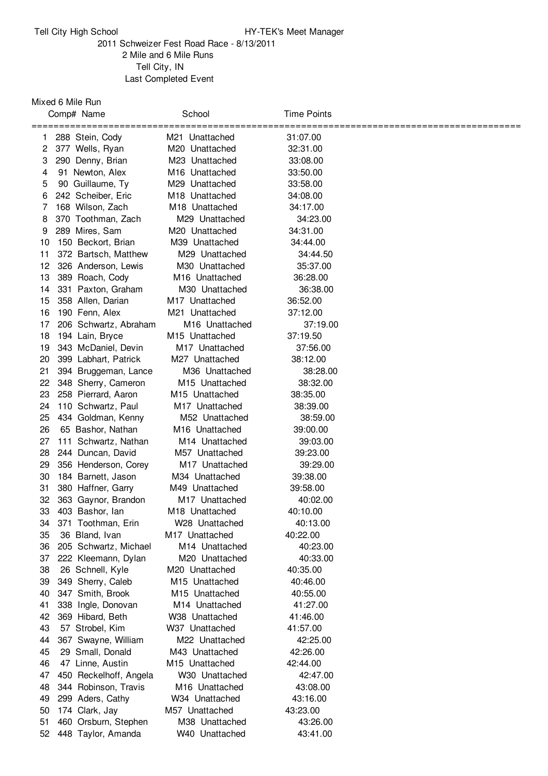## Tell City High School **HY-TEK's Meet Manager**

## Schweizer Fest Road Race - 8/13/2011 Mile and 6 Mile Runs Tell City, IN Last Completed Event

## Mixed 6 Mile Run

|          | Comp# Name                                  | School                           | Time Points          |  |
|----------|---------------------------------------------|----------------------------------|----------------------|--|
|          | ===================================         |                                  | =====                |  |
| 1.       | 288 Stein, Cody                             | M21 Unattached                   | 31:07.00             |  |
| 2        | 377 Wells, Ryan                             | M20 Unattached                   | 32:31.00             |  |
| 3        | 290 Denny, Brian                            | M23 Unattached                   | 33:08.00             |  |
| 4        | 91 Newton, Alex                             | M <sub>16</sub> Unattached       | 33:50.00             |  |
| 5        | 90 Guillaume, Ty                            | M29 Unattached                   | 33:58.00             |  |
| 6        | 242 Scheiber, Eric                          | M <sub>18</sub> Unattached       | 34:08.00             |  |
| 7        | 168 Wilson, Zach                            | M <sub>18</sub> Unattached       | 34:17.00             |  |
| 8        | 370 Toothman, Zach                          | M29 Unattached                   | 34:23.00             |  |
| 9        | 289 Mires, Sam<br>150 Beckort, Brian        | M20 Unattached                   | 34:31.00             |  |
| 10       |                                             | M39 Unattached<br>M29 Unattached | 34:44.00             |  |
| 11<br>12 | 372 Bartsch, Matthew<br>326 Anderson, Lewis | M30 Unattached                   | 34:44.50<br>35:37.00 |  |
| 13       |                                             | M <sub>16</sub> Unattached       | 36:28.00             |  |
| 14       | 389 Roach, Cody<br>331 Paxton, Graham       | M30 Unattached                   | 36:38.00             |  |
| 15       | 358 Allen, Darian                           | M17 Unattached                   | 36:52.00             |  |
| 16       | 190 Fenn, Alex                              | M21 Unattached                   | 37:12.00             |  |
| 17       | 206 Schwartz, Abraham                       | M <sub>16</sub> Unattached       | 37:19.00             |  |
| 18       | 194 Lain, Bryce                             | M <sub>15</sub> Unattached       | 37:19.50             |  |
| 19       | 343 McDaniel, Devin                         | M <sub>17</sub> Unattached       | 37:56.00             |  |
| 20       | 399 Labhart, Patrick                        | M27 Unattached                   | 38:12.00             |  |
| 21       | 394 Bruggeman, Lance                        | M36 Unattached                   | 38:28.00             |  |
| 22       | 348 Sherry, Cameron                         | M <sub>15</sub> Unattached       | 38:32.00             |  |
| 23       | 258 Pierrard, Aaron                         | M <sub>15</sub> Unattached       | 38:35.00             |  |
| 24       | 110 Schwartz, Paul                          | M <sub>17</sub> Unattached       | 38:39.00             |  |
| 25       | 434 Goldman, Kenny                          | M52 Unattached                   | 38:59.00             |  |
| 26       | 65 Bashor, Nathan                           | M <sub>16</sub> Unattached       | 39:00.00             |  |
| 27       | 111 Schwartz, Nathan                        | M <sub>14</sub> Unattached       | 39:03.00             |  |
| 28       | 244 Duncan, David                           | M57 Unattached                   | 39:23.00             |  |
| 29       | 356 Henderson, Corey                        | M17 Unattached                   | 39:29.00             |  |
| 30       | 184 Barnett, Jason                          | M34 Unattached                   | 39:38.00             |  |
| 31       | 380 Haffner, Garry                          | M49 Unattached                   | 39:58.00             |  |
| 32       | 363 Gaynor, Brandon                         | M <sub>17</sub> Unattached       | 40:02.00             |  |
| 33       | 403 Bashor, lan                             | M18 Unattached                   | 40:10.00             |  |
| 34       | 371 Toothman, Erin                          | W28 Unattached                   | 40:13.00             |  |
| 35       | 36 Bland, Ivan                              | M <sub>17</sub> Unattached       | 40:22.00             |  |
| 36       | 205 Schwartz, Michael                       | M14 Unattached                   | 40:23.00             |  |
| 37       | 222 Kleemann, Dylan                         | M <sub>20</sub> Unattached       | 40:33.00             |  |
| 38       | 26 Schnell, Kyle                            | M20 Unattached                   | 40:35.00             |  |
| 39       | 349 Sherry, Caleb                           | M <sub>15</sub> Unattached       | 40:46.00             |  |
| 40       | 347 Smith, Brook                            | M15 Unattached                   | 40:55.00             |  |
| 41       | 338 Ingle, Donovan                          | M14 Unattached                   | 41:27.00             |  |
| 42       | 369 Hibard, Beth                            | W38 Unattached                   | 41:46.00             |  |
| 43       | 57 Strobel, Kim                             | W37 Unattached                   | 41:57.00             |  |
| 44       | 367 Swayne, William                         | M22 Unattached                   | 42:25.00             |  |
| 45       | 29 Small, Donald                            | M43 Unattached                   | 42:26.00             |  |
| 46       | 47 Linne, Austin                            | M15 Unattached                   | 42:44.00             |  |
| 47       | 450 Reckelhoff, Angela                      | W30 Unattached                   | 42:47.00             |  |
| 48       | 344 Robinson, Travis                        | M16 Unattached                   | 43:08.00             |  |
| 49       | 299 Aders, Cathy                            | W34 Unattached                   | 43:16.00             |  |
| 50       | 174 Clark, Jay                              | M57 Unattached                   | 43:23.00             |  |
| 51       | 460 Orsburn, Stephen                        | M38 Unattached                   | 43:26.00             |  |
| 52       | 448 Taylor, Amanda                          | W40 Unattached                   | 43:41.00             |  |
|          |                                             |                                  |                      |  |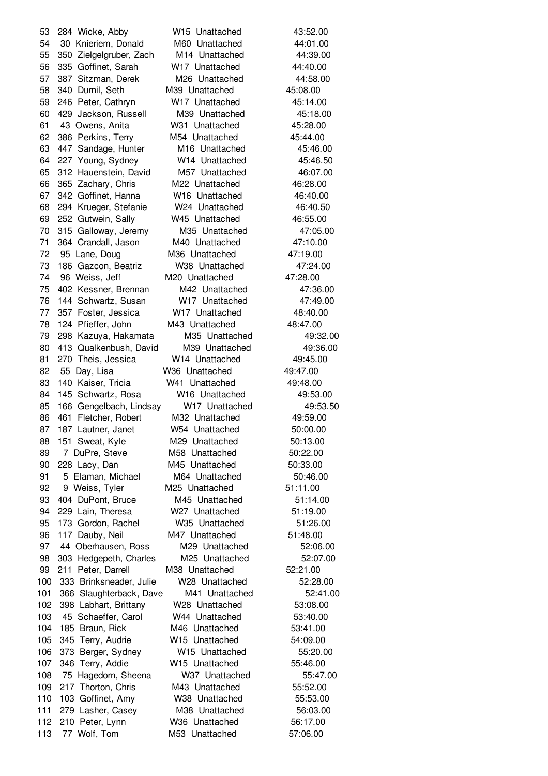284 Wicke, Abby W15 Unattached 43:52.00 30 Knieriem, Donald M60 Unattached 44:01.00 350 Zielgelgruber, Zach M14 Unattached 44:39.00 335 Goffinet, Sarah W17 Unattached 44:40.00 387 Sitzman, Derek M26 Unattached 44:58.00 340 Durnil, Seth M39 Unattached 45:08.00 246 Peter, Cathryn W17 Unattached 45:14.00 429 Jackson, Russell M39 Unattached 45:18.00 43 Owens, Anita W31 Unattached 45:28.00 386 Perkins, Terry M54 Unattached 45:44.00 447 Sandage, Hunter M16 Unattached 45:46.00 227 Young, Sydney W14 Unattached 45:46.50 312 Hauenstein, David M57 Unattached 46:07.00 365 Zachary, Chris M22 Unattached 46:28.00 342 Goffinet, Hanna W16 Unattached 46:40.00 294 Krueger, Stefanie W24 Unattached 46:40.50 252 Gutwein, Sally W45 Unattached 46:55.00 315 Galloway, Jeremy M35 Unattached 47:05.00 364 Crandall, Jason M40 Unattached 47:10.00 95 Lane, Doug M36 Unattached 47:19.00 186 Gazcon, Beatriz W38 Unattached 47:24.00 96 Weiss, Jeff M20 Unattached 47:28.00 402 Kessner, Brennan M42 Unattached 47:36.00 144 Schwartz, Susan W17 Unattached 47:49.00 357 Foster, Jessica W17 Unattached 48:40.00 124 Pfieffer, John M43 Unattached 48:47.00 298 Kazuya, Hakamata M35 Unattached 49:32.00 413 Qualkenbush, David M39 Unattached 49:36.00 270 Theis, Jessica W14 Unattached 49:45.00 55 Day, Lisa W36 Unattached 49:47.00 140 Kaiser, Tricia W41 Unattached 49:48.00 145 Schwartz, Rosa W16 Unattached 49:53.00 85 166 Gengelbach, Lindsay W17 Unattached 49:53.50 461 Fletcher, Robert M32 Unattached 49:59.00 187 Lautner, Janet W54 Unattached 50:00.00 88 151 Sweat, Kyle M29 Unattached 50:13.00 89 7 DuPre, Steve M58 Unattached 50:22.00 228 Lacy, Dan M45 Unattached 50:33.00 91 5 Elaman, Michael M64 Unattached 50:46.00 9 Weiss, Tyler M25 Unattached 51:11.00 404 DuPont, Bruce M45 Unattached 51:14.00 229 Lain, Theresa W27 Unattached 51:19.00 173 Gordon, Rachel W35 Unattached 51:26.00 117 Dauby, Neil M47 Unattached 51:48.00 44 Oberhausen, Ross M29 Unattached 52:06.00 303 Hedgepeth, Charles M25 Unattached 52:07.00 211 Peter, Darrell M38 Unattached 52:21.00 333 Brinksneader, Julie W28 Unattached 52:28.00 366 Slaughterback, Dave M41 Unattached 52:41.00 398 Labhart, Brittany W28 Unattached 53:08.00 45 Schaeffer, Carol W44 Unattached 53:40.00 185 Braun, Rick M46 Unattached 53:41.00 345 Terry, Audrie W15 Unattached 54:09.00 373 Berger, Sydney W15 Unattached 55:20.00 346 Terry, Addie W15 Unattached 55:46.00 75 Hagedorn, Sheena W37 Unattached 55:47.00 109 217 Thorton, Chris M43 Unattached 55:52.00 103 Goffinet, Amy W38 Unattached 55:53.00 279 Lasher, Casey M38 Unattached 56:03.00 210 Peter, Lynn W36 Unattached 56:17.00 77 Wolf, Tom M53 Unattached 57:06.00